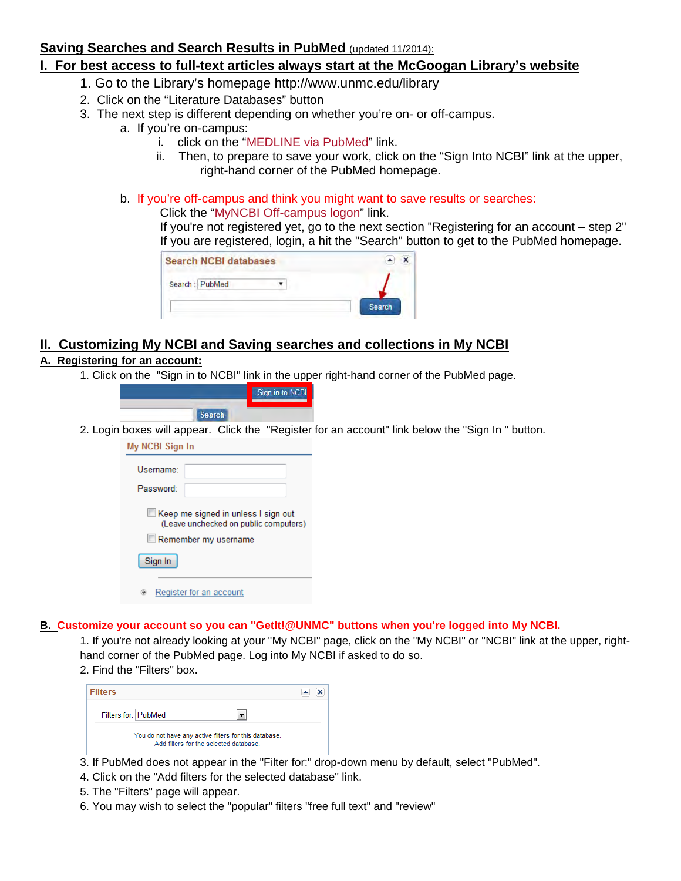## **Saving Searches and Search Results in PubMed** (updated 11/2014):

# **I. For best access to full-text articles always start at the McGoogan Library's website**

- 1. Go to the Library's homepage http://www.unmc.edu/library
- 2. Click on the ["Literature Databases"](https://secure.unmc.edu/owa/,DanaInfo=owa.unmc.edu,SSL+redir.aspx?C=OIijvfEQbk2kaUEZDJoRtRbwo-6n0NEIPUNLxQdzUhvvct6rQf8dbJqhBLhxSgbZBDZOTVnX-Xc.&URL=http%3a%2f%2funmc.edu%2flibrary%2fquicklinks%2fdatabases.html) button
- 3. The next step is different depending on whether you're on- or off-campus.
	- a. If you're on-campus:
		- i. click on the ["MEDLINE via PubMed"](https://secure.unmc.edu/owa/,DanaInfo=owa.unmc.edu,SSL+redir.aspx?C=OIijvfEQbk2kaUEZDJoRtRbwo-6n0NEIPUNLxQdzUhvvct6rQf8dbJqhBLhxSgbZBDZOTVnX-Xc.&URL=https%3a%2f%2flibrary1.unmc.edu%2flogin%3furl%3dhttp%3a%2f%2fwww.ncbi.nlm.nih.gov%2fentrez%2fquery.fcgi%3fotool%3duneblib%26myncbishare%3dunmc) link.
		- ii. Then, to prepare to save your work, click on the "Sign Into NCBI" link at the upper, right-hand corner of the PubMed homepage.
	- b. If you're off-campus and think you might want to save results or searches:

#### Click the ["MyNCBI](https://secure.unmc.edu/owa/,DanaInfo=owa.unmc.edu,SSL+redir.aspx?C=OIijvfEQbk2kaUEZDJoRtRbwo-6n0NEIPUNLxQdzUhvvct6rQf8dbJqhBLhxSgbZBDZOTVnX-Xc.&URL=https%3a%2f%2flibrary1.unmc.edu%2flogin%3furl%3dhttps%3a%2f%2fwww.ncbi.nlm.nih.gov%2faccount%2fsignin%2f) Off-campus logon" link.

If you're not registered yet, go to the next section "Registering for an account – step 2" If you are registered, login, a hit the "Search" button to get to the PubMed homepage.

| <b>Search NCBI databases</b> |               |
|------------------------------|---------------|
| Search: PubMed               |               |
|                              | <b>Search</b> |

# **II. Customizing My NCBI and Saving searches and collections in My NCBI**

## **A. Registering for an account:**

1. Click on the "Sign in to NCBI" link in the upper right-hand corner of the PubMed page.

|               | Sign in to NCBIL |
|---------------|------------------|
| <b>Search</b> |                  |

2. Login boxes will appear. Click the "Register for an account" link below the "Sign In " button.

| My NCBI Sign In                                                                                       |                         |  |  |
|-------------------------------------------------------------------------------------------------------|-------------------------|--|--|
| Username:                                                                                             |                         |  |  |
| Password:                                                                                             |                         |  |  |
| ikeep me signed in unless I sign out<br>(Leave unchecked on public computers)<br>Remember my username |                         |  |  |
| Sign In                                                                                               |                         |  |  |
| ⊖                                                                                                     | Register for an account |  |  |

### **B. Customize your account so you can "GetIt!@UNMC" buttons when you're logged into My NCBI.**

1. If you're not already looking at your "My NCBI" page, click on the "My NCBI" or "NCBI" link at the upper, righthand corner of the PubMed page. Log into My NCBI if asked to do so.

2. Find the "Filters" box.

| <b>Filters</b>                                                                                  |  |
|-------------------------------------------------------------------------------------------------|--|
| Filters for: PubMed                                                                             |  |
| You do not have any active filters for this database.<br>Add filters for the selected database. |  |

- 3. If PubMed does not appear in the "Filter for:" drop-down menu by default, select "PubMed".
- 4. Click on the "Add filters for the selected database" link.
- 5. The "Filters" page will appear.
- 6. You may wish to select the "popular" filters "free full text" and "review"